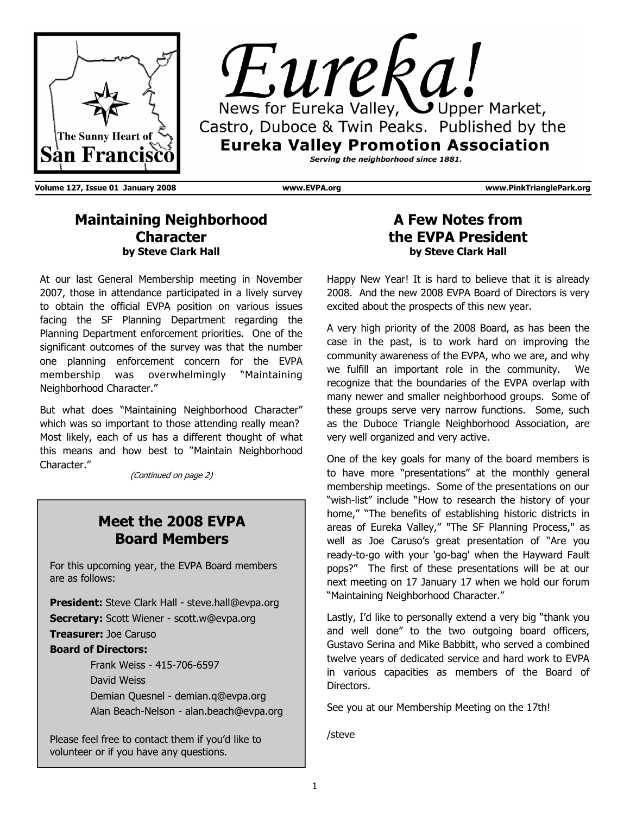



**Volume 127, Issue 01 January 2008 www.EVPA.org www.PinkTrianglePark.org** 

## **Maintaining Neighborhood Character by Steve Clark Hall**

At our last General Membership meeting in November 2007, those in attendance participated in a lively survey to obtain the official EVPA position on various issues facing the SF Planning Department regarding the Planning Department enforcement priorities. One of the significant outcomes of the survey was that the number one planning enforcement concern for the EVPA membership was overwhelmingly "Maintaining Neighborhood Character."

But what does "Maintaining Neighborhood Character" which was so important to those attending really mean? Most likely, each of us has a different thought of what this means and how best to "Maintain Neighborhood Character."

(Continued on page 2)

# **Meet the 2008 EVPA Board Members**

For this upcoming year, the EVPA Board members are as follows:

**President:** Steve Clark Hall - steve.hall@evpa.org **Secretary:** Scott Wiener - scott.w@evpa.org **Treasurer:** Joe Caruso

#### **Board of Directors:**

 Frank Weiss - 415-706-6597 David Weiss Demian Quesnel - demian.q@evpa.org Alan Beach-Nelson - alan.beach@evpa.org

Please feel free to contact them if you'd like to volunteer or if you have any questions.

## **A Few Notes from the EVPA President by Steve Clark Hall**

Happy New Year! It is hard to believe that it is already 2008. And the new 2008 EVPA Board of Directors is very excited about the prospects of this new year.

A very high priority of the 2008 Board, as has been the case in the past, is to work hard on improving the community awareness of the EVPA, who we are, and why we fulfill an important role in the community. We recognize that the boundaries of the EVPA overlap with many newer and smaller neighborhood groups. Some of these groups serve very narrow functions. Some, such as the Duboce Triangle Neighborhood Association, are very well organized and very active.

One of the key goals for many of the board members is to have more "presentations" at the monthly general membership meetings. Some of the presentations on our "wish-list" include "How to research the history of your home," "The benefits of establishing historic districts in areas of Eureka Valley," "The SF Planning Process," as well as Joe Caruso's great presentation of "Are you ready-to-go with your 'go-bag' when the Hayward Fault pops?" The first of these presentations will be at our next meeting on 17 January 17 when we hold our forum "Maintaining Neighborhood Character."

Lastly, I'd like to personally extend a very big "thank you and well done" to the two outgoing board officers, Gustavo Serina and Mike Babbitt, who served a combined twelve years of dedicated service and hard work to EVPA in various capacities as members of the Board of Directors.

See you at our Membership Meeting on the 17th!

/steve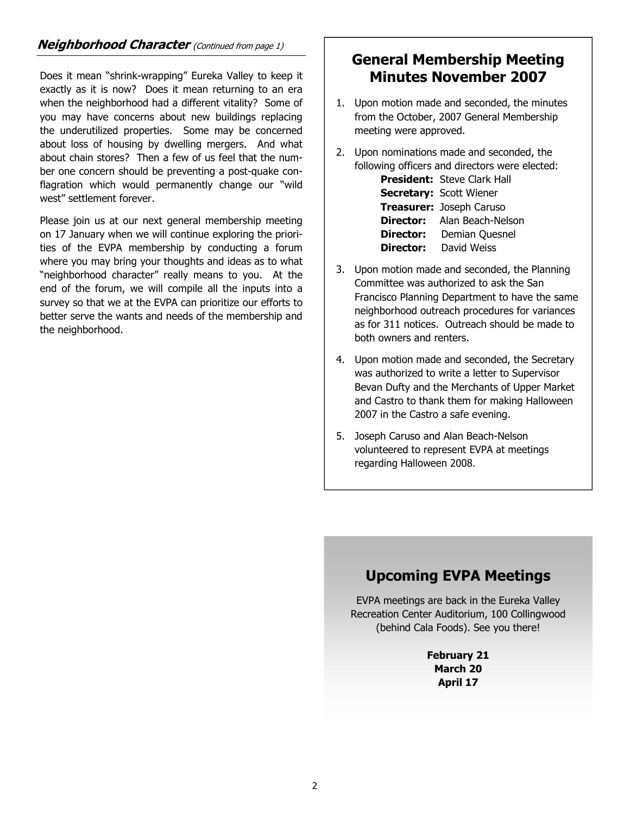### **Neighborhood Character** (Continued from page 1)

Does it mean "shrink-wrapping" Eureka Valley to keep it exactly as it is now? Does it mean returning to an era when the neighborhood had a different vitality? Some of you may have concerns about new buildings replacing the underutilized properties. Some may be concerned about loss of housing by dwelling mergers. And what about chain stores? Then a few of us feel that the number one concern should be preventing a post-quake conflagration which would permanently change our "wild west" settlement forever.

Please join us at our next general membership meeting on 17 January when we will continue exploring the priorities of the EVPA membership by conducting a forum where you may bring your thoughts and ideas as to what "neighborhood character" really means to you. At the end of the forum, we will compile all the inputs into a survey so that we at the EVPA can prioritize our efforts to better serve the wants and needs of the membership and the neighborhood.

# **General Membership Meeting Minutes November 2007**

- 1. Upon motion made and seconded, the minutes from the October, 2007 General Membership meeting were approved.
- 2. Upon nominations made and seconded, the following officers and directors were elected:

|           | <b>President:</b> Steve Clark Hall |
|-----------|------------------------------------|
|           | <b>Secretary: Scott Wiener</b>     |
|           | Treasurer: Joseph Caruso           |
|           | <b>Director:</b> Alan Beach-Nelson |
| Director: | Demian Quesnel                     |
| Director: | David Weiss                        |

- 3. Upon motion made and seconded, the Planning Committee was authorized to ask the San Francisco Planning Department to have the same neighborhood outreach procedures for variances as for 311 notices. Outreach should be made to both owners and renters.
- 4. Upon motion made and seconded, the Secretary was authorized to write a letter to Supervisor Bevan Dufty and the Merchants of Upper Market and Castro to thank them for making Halloween 2007 in the Castro a safe evening.
- 5. Joseph Caruso and Alan Beach-Nelson volunteered to represent EVPA at meetings regarding Halloween 2008.

# **Upcoming EVPA Meetings**

EVPA meetings are back in the Eureka Valley Recreation Center Auditorium, 100 Collingwood (behind Cala Foods). See you there!

> **February 21 March 20 April 17**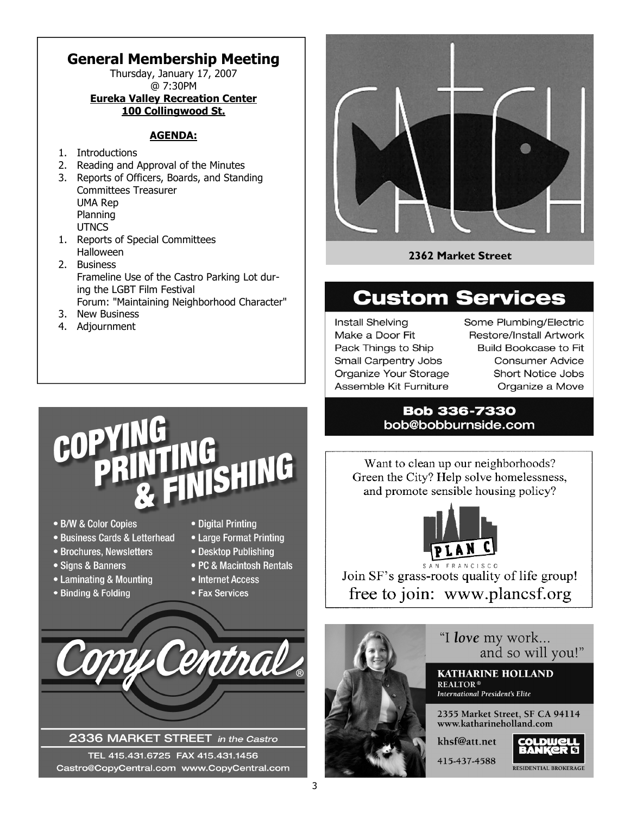# **General Membership Meeting**

Thursday, January 17, 2007 @ 7:30PM **Eureka Valley Recreation Center** 

# **100 Collingwood St.**

#### **AGENDA:**

- 1. Introductions
- 2. Reading and Approval of the Minutes
- 3. Reports of Officers, Boards, and Standing Committees Treasurer UMA Rep Planning **UTNCS**
- 1. Reports of Special Committees Halloween
- 2. Business Frameline Use of the Castro Parking Lot during the LGBT Film Festival Forum: "Maintaining Neighborhood Character"
- 3. New Business
- 4. Adjournment



#### **2362 Market Street**

# **Custom Services**

**Install Shelving** Make a Door Fit Pack Things to Ship Small Carpentry Jobs Organize Your Storage Assemble Kit Furniture

Some Plumbing/Electric Restore/Install Artwork **Build Bookcase to Fit Consumer Advice** Short Notice Jobs Organize a Move

#### **Bob 336-7330** bob@bobburnside.com

Want to clean up our neighborhoods? Green the City? Help solve homelessness, and promote sensible housing policy?



Join SF's grass-roots quality of life group! free to join: www.plancsf.org



"I love my work... and so will you!"

**KATHARINE HOLLAND International President's Elite** 

2355 Market Street, SF CA 94114 www.katharineholland.com

RESIDENTIAL BROKERAGE

# COP SHING

- · B/W & Color Copies
- · Business Cards & Letterhead
- Brochures, Newsletters
- Signs & Banners
- Laminating & Mounting
- Binding & Folding
- Digital Printing
- Large Format Printing
- Desktop Publishing
- PC & Macintosh Rentals
- Internet Access
- Fax Services



#### 2336 MARKET STREET in the Castro

TEL 415.431.6725 FAX 415.431.1456 Castro@CopyCentral.com www.CopyCentral.com